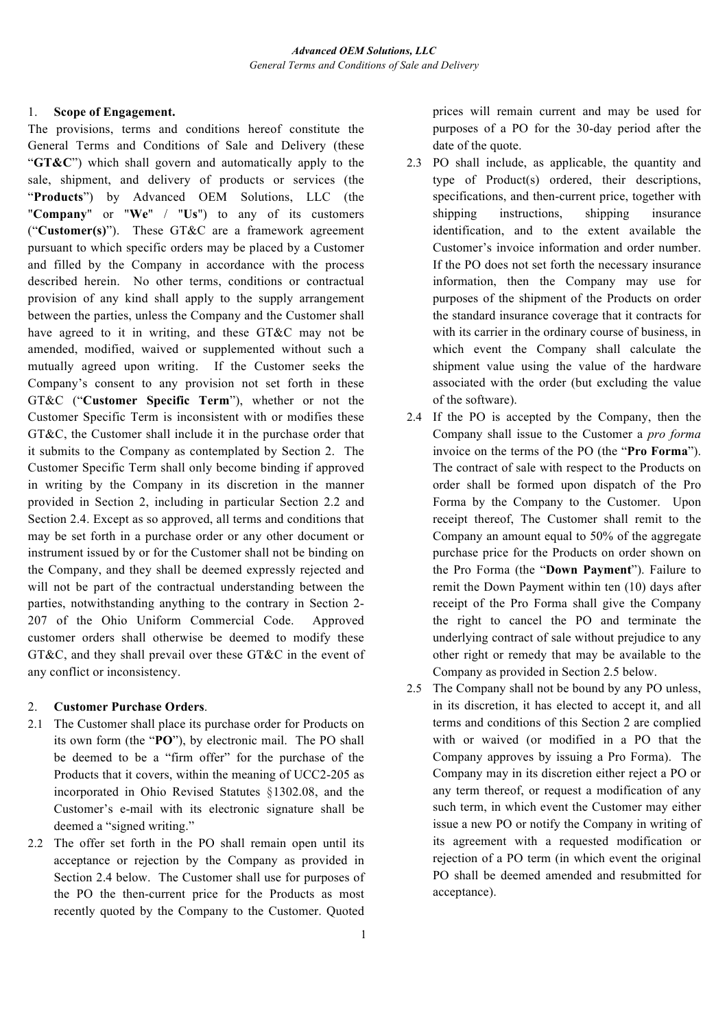### 1. **Scope of Engagement.**

The provisions, terms and conditions hereof constitute the General Terms and Conditions of Sale and Delivery (these "**GT&C**") which shall govern and automatically apply to the sale, shipment, and delivery of products or services (the "**Products**") by Advanced OEM Solutions, LLC (the "**Company**" or "**We**" / "**Us**") to any of its customers ("**Customer(s)**"). These GT&C are a framework agreement pursuant to which specific orders may be placed by a Customer and filled by the Company in accordance with the process described herein. No other terms, conditions or contractual provision of any kind shall apply to the supply arrangement between the parties, unless the Company and the Customer shall have agreed to it in writing, and these GT&C may not be amended, modified, waived or supplemented without such a mutually agreed upon writing. If the Customer seeks the Company's consent to any provision not set forth in these GT&C ("**Customer Specific Term**"), whether or not the Customer Specific Term is inconsistent with or modifies these GT&C, the Customer shall include it in the purchase order that it submits to the Company as contemplated by Section 2. The Customer Specific Term shall only become binding if approved in writing by the Company in its discretion in the manner provided in Section 2, including in particular Section 2.2 and Section 2.4. Except as so approved, all terms and conditions that may be set forth in a purchase order or any other document or instrument issued by or for the Customer shall not be binding on the Company, and they shall be deemed expressly rejected and will not be part of the contractual understanding between the parties, notwithstanding anything to the contrary in Section 2- 207 of the Ohio Uniform Commercial Code. Approved customer orders shall otherwise be deemed to modify these GT&C, and they shall prevail over these GT&C in the event of any conflict or inconsistency.

# 2. **Customer Purchase Orders**.

- 2.1 The Customer shall place its purchase order for Products on its own form (the "**PO**"), by electronic mail. The PO shall be deemed to be a "firm offer" for the purchase of the Products that it covers, within the meaning of UCC2-205 as incorporated in Ohio Revised Statutes §1302.08, and the Customer's e-mail with its electronic signature shall be deemed a "signed writing."
- 2.2 The offer set forth in the PO shall remain open until its acceptance or rejection by the Company as provided in Section 2.4 below. The Customer shall use for purposes of the PO the then-current price for the Products as most recently quoted by the Company to the Customer. Quoted

prices will remain current and may be used for purposes of a PO for the 30-day period after the date of the quote.

- 2.3 PO shall include, as applicable, the quantity and type of Product(s) ordered, their descriptions, specifications, and then-current price, together with shipping instructions, shipping insurance identification, and to the extent available the Customer's invoice information and order number. If the PO does not set forth the necessary insurance information, then the Company may use for purposes of the shipment of the Products on order the standard insurance coverage that it contracts for with its carrier in the ordinary course of business, in which event the Company shall calculate the shipment value using the value of the hardware associated with the order (but excluding the value of the software).
- 2.4 If the PO is accepted by the Company, then the Company shall issue to the Customer a *pro forma*  invoice on the terms of the PO (the "**Pro Forma**"). The contract of sale with respect to the Products on order shall be formed upon dispatch of the Pro Forma by the Company to the Customer. Upon receipt thereof, The Customer shall remit to the Company an amount equal to 50% of the aggregate purchase price for the Products on order shown on the Pro Forma (the "**Down Payment**"). Failure to remit the Down Payment within ten (10) days after receipt of the Pro Forma shall give the Company the right to cancel the PO and terminate the underlying contract of sale without prejudice to any other right or remedy that may be available to the Company as provided in Section 2.5 below.
- 2.5 The Company shall not be bound by any PO unless, in its discretion, it has elected to accept it, and all terms and conditions of this Section 2 are complied with or waived (or modified in a PO that the Company approves by issuing a Pro Forma). The Company may in its discretion either reject a PO or any term thereof, or request a modification of any such term, in which event the Customer may either issue a new PO or notify the Company in writing of its agreement with a requested modification or rejection of a PO term (in which event the original PO shall be deemed amended and resubmitted for acceptance).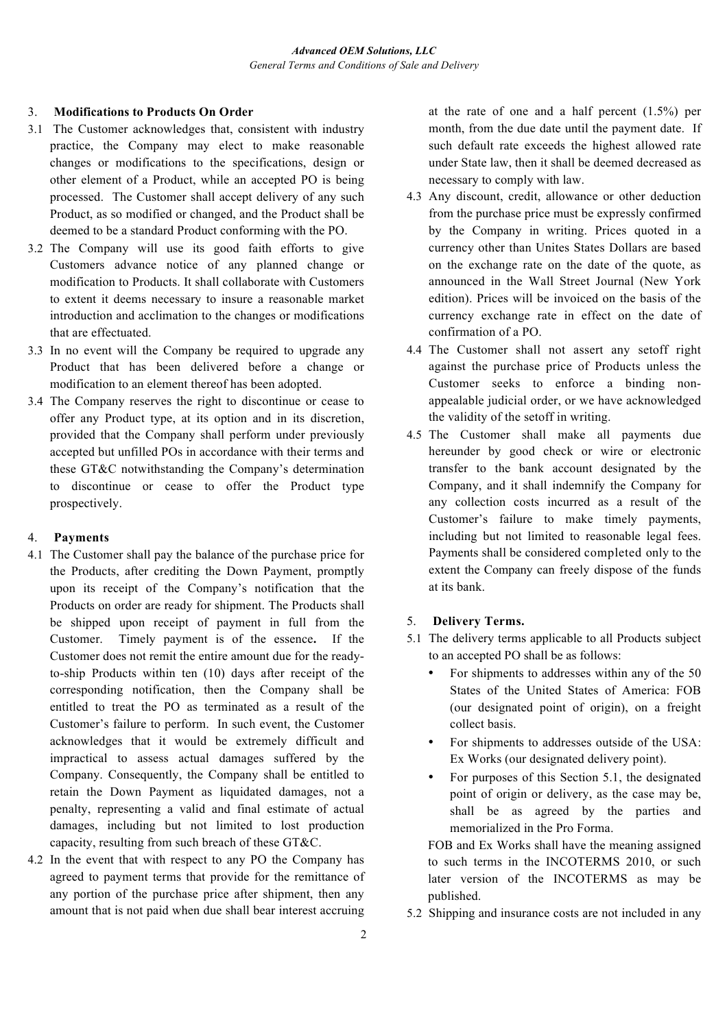## 3. **Modifications to Products On Order**

- 3.1 The Customer acknowledges that, consistent with industry practice, the Company may elect to make reasonable changes or modifications to the specifications, design or other element of a Product, while an accepted PO is being processed. The Customer shall accept delivery of any such Product, as so modified or changed, and the Product shall be deemed to be a standard Product conforming with the PO.
- 3.2 The Company will use its good faith efforts to give Customers advance notice of any planned change or modification to Products. It shall collaborate with Customers to extent it deems necessary to insure a reasonable market introduction and acclimation to the changes or modifications that are effectuated.
- 3.3 In no event will the Company be required to upgrade any Product that has been delivered before a change or modification to an element thereof has been adopted.
- 3.4 The Company reserves the right to discontinue or cease to offer any Product type, at its option and in its discretion, provided that the Company shall perform under previously accepted but unfilled POs in accordance with their terms and these GT&C notwithstanding the Company's determination to discontinue or cease to offer the Product type prospectively.

#### 4. **Payments**

- 4.1 The Customer shall pay the balance of the purchase price for the Products, after crediting the Down Payment, promptly upon its receipt of the Company's notification that the Products on order are ready for shipment. The Products shall be shipped upon receipt of payment in full from the Customer. Timely payment is of the essence**.** If the Customer does not remit the entire amount due for the readyto-ship Products within ten (10) days after receipt of the corresponding notification, then the Company shall be entitled to treat the PO as terminated as a result of the Customer's failure to perform. In such event, the Customer acknowledges that it would be extremely difficult and impractical to assess actual damages suffered by the Company. Consequently, the Company shall be entitled to retain the Down Payment as liquidated damages, not a penalty, representing a valid and final estimate of actual damages, including but not limited to lost production capacity, resulting from such breach of these GT&C.
- 4.2 In the event that with respect to any PO the Company has agreed to payment terms that provide for the remittance of any portion of the purchase price after shipment, then any amount that is not paid when due shall bear interest accruing

at the rate of one and a half percent (1.5%) per month, from the due date until the payment date. If such default rate exceeds the highest allowed rate under State law, then it shall be deemed decreased as necessary to comply with law.

- 4.3 Any discount, credit, allowance or other deduction from the purchase price must be expressly confirmed by the Company in writing. Prices quoted in a currency other than Unites States Dollars are based on the exchange rate on the date of the quote, as announced in the Wall Street Journal (New York edition). Prices will be invoiced on the basis of the currency exchange rate in effect on the date of confirmation of a PO.
- 4.4 The Customer shall not assert any setoff right against the purchase price of Products unless the Customer seeks to enforce a binding nonappealable judicial order, or we have acknowledged the validity of the setoff in writing.
- 4.5 The Customer shall make all payments due hereunder by good check or wire or electronic transfer to the bank account designated by the Company, and it shall indemnify the Company for any collection costs incurred as a result of the Customer's failure to make timely payments, including but not limited to reasonable legal fees. Payments shall be considered completed only to the extent the Company can freely dispose of the funds at its bank.

# 5. **Delivery Terms.**

- 5.1 The delivery terms applicable to all Products subject to an accepted PO shall be as follows:
	- For shipments to addresses within any of the 50 States of the United States of America: FOB (our designated point of origin), on a freight collect basis.
	- For shipments to addresses outside of the USA: Ex Works (our designated delivery point).
	- For purposes of this Section 5.1, the designated point of origin or delivery, as the case may be, shall be as agreed by the parties and memorialized in the Pro Forma.

FOB and Ex Works shall have the meaning assigned to such terms in the INCOTERMS 2010, or such later version of the INCOTERMS as may be published.

5.2 Shipping and insurance costs are not included in any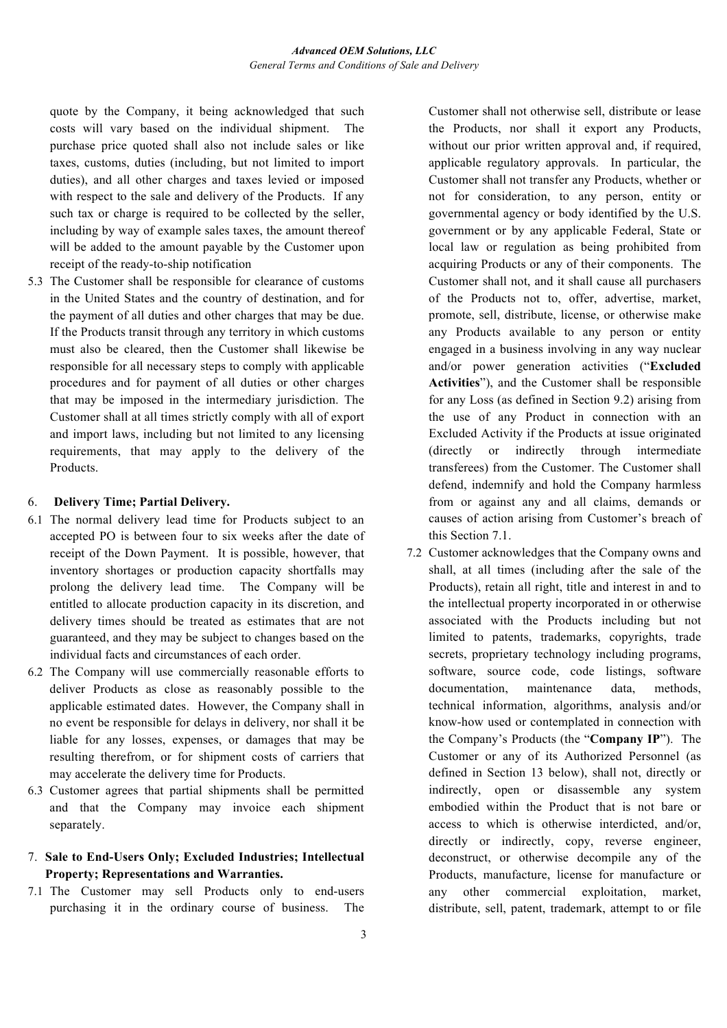quote by the Company, it being acknowledged that such costs will vary based on the individual shipment. The purchase price quoted shall also not include sales or like taxes, customs, duties (including, but not limited to import duties), and all other charges and taxes levied or imposed with respect to the sale and delivery of the Products. If any such tax or charge is required to be collected by the seller, including by way of example sales taxes, the amount thereof will be added to the amount payable by the Customer upon receipt of the ready-to-ship notification

5.3 The Customer shall be responsible for clearance of customs in the United States and the country of destination, and for the payment of all duties and other charges that may be due. If the Products transit through any territory in which customs must also be cleared, then the Customer shall likewise be responsible for all necessary steps to comply with applicable procedures and for payment of all duties or other charges that may be imposed in the intermediary jurisdiction. The Customer shall at all times strictly comply with all of export and import laws, including but not limited to any licensing requirements, that may apply to the delivery of the Products.

#### 6. **Delivery Time; Partial Delivery.**

- 6.1 The normal delivery lead time for Products subject to an accepted PO is between four to six weeks after the date of receipt of the Down Payment. It is possible, however, that inventory shortages or production capacity shortfalls may prolong the delivery lead time. The Company will be entitled to allocate production capacity in its discretion, and delivery times should be treated as estimates that are not guaranteed, and they may be subject to changes based on the individual facts and circumstances of each order.
- 6.2 The Company will use commercially reasonable efforts to deliver Products as close as reasonably possible to the applicable estimated dates. However, the Company shall in no event be responsible for delays in delivery, nor shall it be liable for any losses, expenses, or damages that may be resulting therefrom, or for shipment costs of carriers that may accelerate the delivery time for Products.
- 6.3 Customer agrees that partial shipments shall be permitted and that the Company may invoice each shipment separately.

# 7. **Sale to End-Users Only; Excluded Industries; Intellectual Property; Representations and Warranties.**

7.1 The Customer may sell Products only to end-users purchasing it in the ordinary course of business. The Customer shall not otherwise sell, distribute or lease the Products, nor shall it export any Products, without our prior written approval and, if required, applicable regulatory approvals. In particular, the Customer shall not transfer any Products, whether or not for consideration, to any person, entity or governmental agency or body identified by the U.S. government or by any applicable Federal, State or local law or regulation as being prohibited from acquiring Products or any of their components. The Customer shall not, and it shall cause all purchasers of the Products not to, offer, advertise, market, promote, sell, distribute, license, or otherwise make any Products available to any person or entity engaged in a business involving in any way nuclear and/or power generation activities ("**Excluded Activities**"), and the Customer shall be responsible for any Loss (as defined in Section 9.2) arising from the use of any Product in connection with an Excluded Activity if the Products at issue originated (directly or indirectly through intermediate transferees) from the Customer. The Customer shall defend, indemnify and hold the Company harmless from or against any and all claims, demands or causes of action arising from Customer's breach of this Section 7.1.

7.2 Customer acknowledges that the Company owns and shall, at all times (including after the sale of the Products), retain all right, title and interest in and to the intellectual property incorporated in or otherwise associated with the Products including but not limited to patents, trademarks, copyrights, trade secrets, proprietary technology including programs, software, source code, code listings, software documentation, maintenance data, methods, technical information, algorithms, analysis and/or know-how used or contemplated in connection with the Company's Products (the "**Company IP**"). The Customer or any of its Authorized Personnel (as defined in Section 13 below), shall not, directly or indirectly, open or disassemble any system embodied within the Product that is not bare or access to which is otherwise interdicted, and/or, directly or indirectly, copy, reverse engineer, deconstruct, or otherwise decompile any of the Products, manufacture, license for manufacture or any other commercial exploitation, market, distribute, sell, patent, trademark, attempt to or file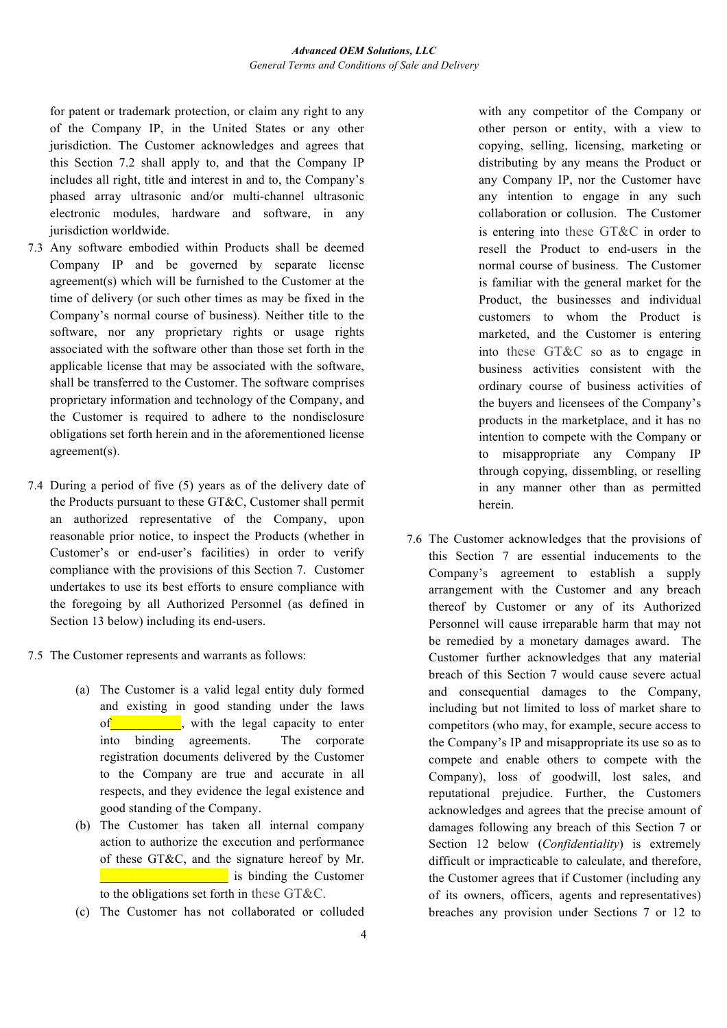for patent or trademark protection, or claim any right to any of the Company IP, in the United States or any other jurisdiction. The Customer acknowledges and agrees that this Section 7.2 shall apply to, and that the Company IP includes all right, title and interest in and to, the Company's phased array ultrasonic and/or multi-channel ultrasonic electronic modules, hardware and software, in any jurisdiction worldwide.

- 7.3 Any software embodied within Products shall be deemed Company IP and be governed by separate license agreement(s) which will be furnished to the Customer at the time of delivery (or such other times as may be fixed in the Company's normal course of business). Neither title to the software, nor any proprietary rights or usage rights associated with the software other than those set forth in the applicable license that may be associated with the software, shall be transferred to the Customer. The software comprises proprietary information and technology of the Company, and the Customer is required to adhere to the nondisclosure obligations set forth herein and in the aforementioned license agreement(s).
- 7.4 During a period of five (5) years as of the delivery date of the Products pursuant to these GT&C, Customer shall permit an authorized representative of the Company, upon reasonable prior notice, to inspect the Products (whether in Customer's or end-user's facilities) in order to verify compliance with the provisions of this Section 7. Customer undertakes to use its best efforts to ensure compliance with the foregoing by all Authorized Personnel (as defined in Section 13 below) including its end-users.
- 7.5 The Customer represents and warrants as follows:
	- (a) The Customer is a valid legal entity duly formed and existing in good standing under the laws of\_\_\_\_\_\_\_\_\_\_\_, with the legal capacity to enter into binding agreements. The corporate registration documents delivered by the Customer to the Company are true and accurate in all respects, and they evidence the legal existence and good standing of the Company.
	- (b) The Customer has taken all internal company action to authorize the execution and performance of these GT&C, and the signature hereof by Mr. **Example 2.1** is binding the Customer to the obligations set forth in these GT&C.
	- (c) The Customer has not collaborated or colluded

with any competitor of the Company or other person or entity, with a view to copying, selling, licensing, marketing or distributing by any means the Product or any Company IP, nor the Customer have any intention to engage in any such collaboration or collusion. The Customer is entering into these GT&C in order to resell the Product to end-users in the normal course of business. The Customer is familiar with the general market for the Product, the businesses and individual customers to whom the Product is marketed, and the Customer is entering into these GT&C so as to engage in business activities consistent with the ordinary course of business activities of the buyers and licensees of the Company's products in the marketplace, and it has no intention to compete with the Company or to misappropriate any Company IP through copying, dissembling, or reselling in any manner other than as permitted herein.

7.6 The Customer acknowledges that the provisions of this Section 7 are essential inducements to the Company's agreement to establish a supply arrangement with the Customer and any breach thereof by Customer or any of its Authorized Personnel will cause irreparable harm that may not be remedied by a monetary damages award. The Customer further acknowledges that any material breach of this Section 7 would cause severe actual and consequential damages to the Company, including but not limited to loss of market share to competitors (who may, for example, secure access to the Company's IP and misappropriate its use so as to compete and enable others to compete with the Company), loss of goodwill, lost sales, and reputational prejudice. Further, the Customers acknowledges and agrees that the precise amount of damages following any breach of this Section 7 or Section 12 below (*Confidentiality*) is extremely difficult or impracticable to calculate, and therefore, the Customer agrees that if Customer (including any of its owners, officers, agents and representatives) breaches any provision under Sections 7 or 12 to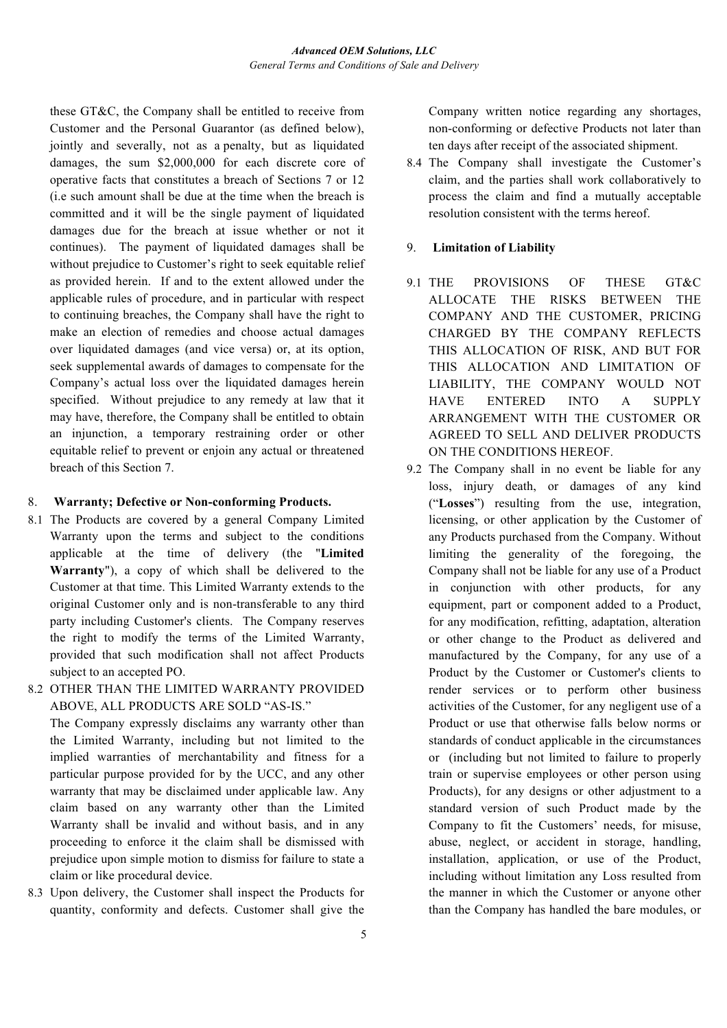these GT&C, the Company shall be entitled to receive from Customer and the Personal Guarantor (as defined below), jointly and severally, not as a penalty, but as liquidated damages, the sum \$2,000,000 for each discrete core of operative facts that constitutes a breach of Sections 7 or 12 (i.e such amount shall be due at the time when the breach is committed and it will be the single payment of liquidated damages due for the breach at issue whether or not it continues). The payment of liquidated damages shall be without prejudice to Customer's right to seek equitable relief as provided herein. If and to the extent allowed under the applicable rules of procedure, and in particular with respect to continuing breaches, the Company shall have the right to make an election of remedies and choose actual damages over liquidated damages (and vice versa) or, at its option, seek supplemental awards of damages to compensate for the Company's actual loss over the liquidated damages herein specified. Without prejudice to any remedy at law that it may have, therefore, the Company shall be entitled to obtain an injunction, a temporary restraining order or other equitable relief to prevent or enjoin any actual or threatened breach of this Section 7.

## 8. **Warranty; Defective or Non-conforming Products.**

- 8.1 The Products are covered by a general Company Limited Warranty upon the terms and subject to the conditions applicable at the time of delivery (the "**Limited Warranty**"), a copy of which shall be delivered to the Customer at that time. This Limited Warranty extends to the original Customer only and is non-transferable to any third party including Customer's clients. The Company reserves the right to modify the terms of the Limited Warranty, provided that such modification shall not affect Products subject to an accepted PO.
- 8.2 OTHER THAN THE LIMITED WARRANTY PROVIDED ABOVE, ALL PRODUCTS ARE SOLD "AS-IS."

The Company expressly disclaims any warranty other than the Limited Warranty, including but not limited to the implied warranties of merchantability and fitness for a particular purpose provided for by the UCC, and any other warranty that may be disclaimed under applicable law. Any claim based on any warranty other than the Limited Warranty shall be invalid and without basis, and in any proceeding to enforce it the claim shall be dismissed with prejudice upon simple motion to dismiss for failure to state a claim or like procedural device.

8.3 Upon delivery, the Customer shall inspect the Products for quantity, conformity and defects. Customer shall give the Company written notice regarding any shortages, non-conforming or defective Products not later than ten days after receipt of the associated shipment.

8.4 The Company shall investigate the Customer's claim, and the parties shall work collaboratively to process the claim and find a mutually acceptable resolution consistent with the terms hereof.

## 9. **Limitation of Liability**

- 9.1 THE PROVISIONS OF THESE GT&C ALLOCATE THE RISKS BETWEEN THE COMPANY AND THE CUSTOMER, PRICING CHARGED BY THE COMPANY REFLECTS THIS ALLOCATION OF RISK, AND BUT FOR THIS ALLOCATION AND LIMITATION OF LIABILITY, THE COMPANY WOULD NOT HAVE ENTERED INTO A SUPPLY ARRANGEMENT WITH THE CUSTOMER OR AGREED TO SELL AND DELIVER PRODUCTS ON THE CONDITIONS HEREOF.
- 9.2 The Company shall in no event be liable for any loss, injury death, or damages of any kind ("**Losses**") resulting from the use, integration, licensing, or other application by the Customer of any Products purchased from the Company. Without limiting the generality of the foregoing, the Company shall not be liable for any use of a Product in conjunction with other products, for any equipment, part or component added to a Product, for any modification, refitting, adaptation, alteration or other change to the Product as delivered and manufactured by the Company, for any use of a Product by the Customer or Customer's clients to render services or to perform other business activities of the Customer, for any negligent use of a Product or use that otherwise falls below norms or standards of conduct applicable in the circumstances or (including but not limited to failure to properly train or supervise employees or other person using Products), for any designs or other adjustment to a standard version of such Product made by the Company to fit the Customers' needs, for misuse, abuse, neglect, or accident in storage, handling, installation, application, or use of the Product, including without limitation any Loss resulted from the manner in which the Customer or anyone other than the Company has handled the bare modules, or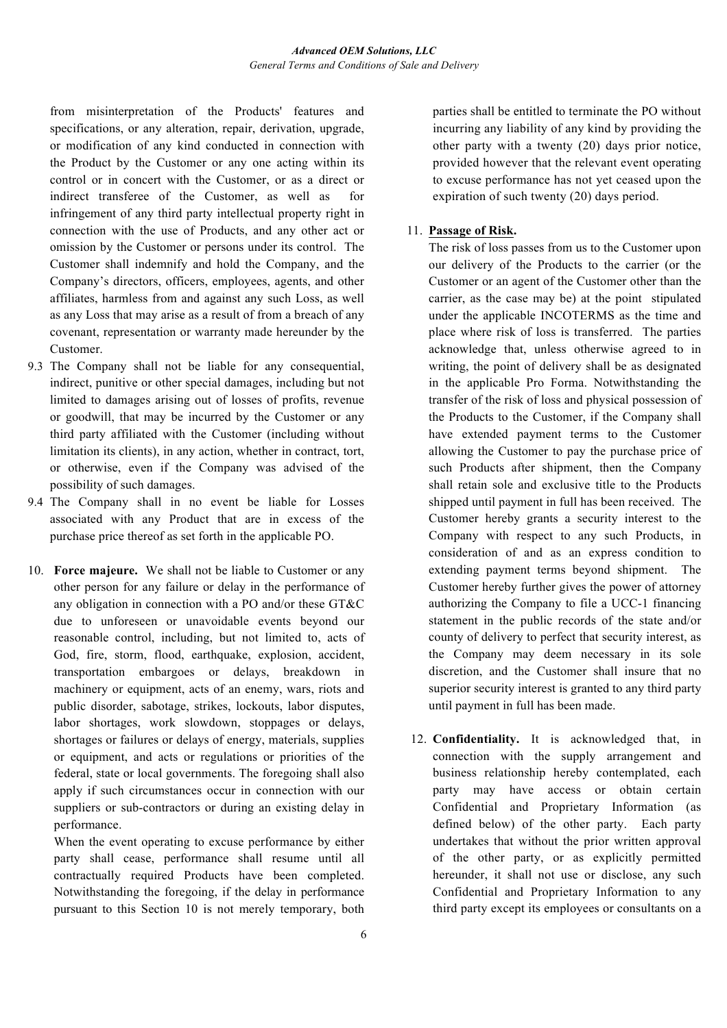from misinterpretation of the Products' features and specifications, or any alteration, repair, derivation, upgrade, or modification of any kind conducted in connection with the Product by the Customer or any one acting within its control or in concert with the Customer, or as a direct or indirect transferee of the Customer, as well as for infringement of any third party intellectual property right in connection with the use of Products, and any other act or omission by the Customer or persons under its control. The Customer shall indemnify and hold the Company, and the Company's directors, officers, employees, agents, and other affiliates, harmless from and against any such Loss, as well as any Loss that may arise as a result of from a breach of any covenant, representation or warranty made hereunder by the Customer.

- 9.3 The Company shall not be liable for any consequential, indirect, punitive or other special damages, including but not limited to damages arising out of losses of profits, revenue or goodwill, that may be incurred by the Customer or any third party affiliated with the Customer (including without limitation its clients), in any action, whether in contract, tort, or otherwise, even if the Company was advised of the possibility of such damages.
- 9.4 The Company shall in no event be liable for Losses associated with any Product that are in excess of the purchase price thereof as set forth in the applicable PO.
- 10. **Force majeure.** We shall not be liable to Customer or any other person for any failure or delay in the performance of any obligation in connection with a PO and/or these GT&C due to unforeseen or unavoidable events beyond our reasonable control, including, but not limited to, acts of God, fire, storm, flood, earthquake, explosion, accident, transportation embargoes or delays, breakdown in machinery or equipment, acts of an enemy, wars, riots and public disorder, sabotage, strikes, lockouts, labor disputes, labor shortages, work slowdown, stoppages or delays, shortages or failures or delays of energy, materials, supplies or equipment, and acts or regulations or priorities of the federal, state or local governments. The foregoing shall also apply if such circumstances occur in connection with our suppliers or sub-contractors or during an existing delay in performance.

When the event operating to excuse performance by either party shall cease, performance shall resume until all contractually required Products have been completed. Notwithstanding the foregoing, if the delay in performance pursuant to this Section 10 is not merely temporary, both parties shall be entitled to terminate the PO without incurring any liability of any kind by providing the other party with a twenty (20) days prior notice, provided however that the relevant event operating to excuse performance has not yet ceased upon the expiration of such twenty (20) days period.

## 11. **Passage of Risk.**

The risk of loss passes from us to the Customer upon our delivery of the Products to the carrier (or the Customer or an agent of the Customer other than the carrier, as the case may be) at the point stipulated under the applicable INCOTERMS as the time and place where risk of loss is transferred. The parties acknowledge that, unless otherwise agreed to in writing, the point of delivery shall be as designated in the applicable Pro Forma. Notwithstanding the transfer of the risk of loss and physical possession of the Products to the Customer, if the Company shall have extended payment terms to the Customer allowing the Customer to pay the purchase price of such Products after shipment, then the Company shall retain sole and exclusive title to the Products shipped until payment in full has been received. The Customer hereby grants a security interest to the Company with respect to any such Products, in consideration of and as an express condition to extending payment terms beyond shipment. The Customer hereby further gives the power of attorney authorizing the Company to file a UCC-1 financing statement in the public records of the state and/or county of delivery to perfect that security interest, as the Company may deem necessary in its sole discretion, and the Customer shall insure that no superior security interest is granted to any third party until payment in full has been made.

12. **Confidentiality.** It is acknowledged that, in connection with the supply arrangement and business relationship hereby contemplated, each party may have access or obtain certain Confidential and Proprietary Information (as defined below) of the other party. Each party undertakes that without the prior written approval of the other party, or as explicitly permitted hereunder, it shall not use or disclose, any such Confidential and Proprietary Information to any third party except its employees or consultants on a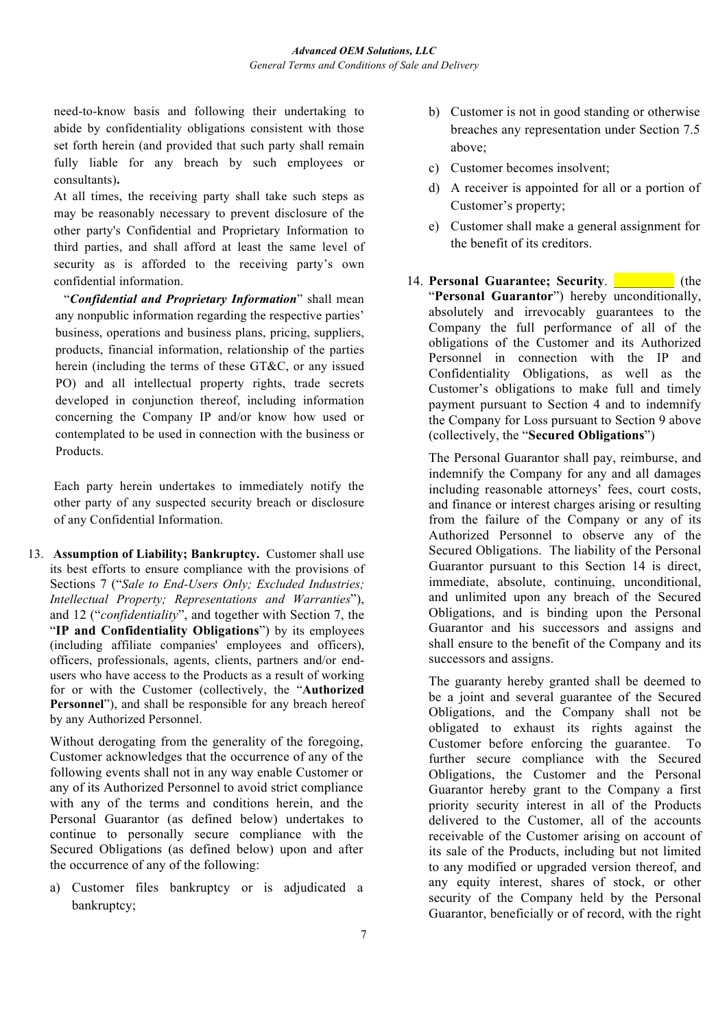need-to-know basis and following their undertaking to abide by confidentiality obligations consistent with those set forth herein (and provided that such party shall remain fully liable for any breach by such employees or consultants)**.** 

At all times, the receiving party shall take such steps as may be reasonably necessary to prevent disclosure of the other party's Confidential and Proprietary Information to third parties, and shall afford at least the same level of security as is afforded to the receiving party's own confidential information.

"*Confidential and Proprietary Information*" shall mean any nonpublic information regarding the respective parties' business, operations and business plans, pricing, suppliers, products, financial information, relationship of the parties herein (including the terms of these GT&C, or any issued PO) and all intellectual property rights, trade secrets developed in conjunction thereof, including information concerning the Company IP and/or know how used or contemplated to be used in connection with the business or Products.

Each party herein undertakes to immediately notify the other party of any suspected security breach or disclosure of any Confidential Information.

13. **Assumption of Liability; Bankruptcy.** Customer shall use its best efforts to ensure compliance with the provisions of Sections 7 ("*Sale to End-Users Only; Excluded Industries; Intellectual Property; Representations and Warranties*"), and 12 ("*confidentiality*", and together with Section 7, the "**IP and Confidentiality Obligations**") by its employees (including affiliate companies' employees and officers), officers, professionals, agents, clients, partners and/or endusers who have access to the Products as a result of working for or with the Customer (collectively, the "**Authorized Personnel**"), and shall be responsible for any breach hereof by any Authorized Personnel.

Without derogating from the generality of the foregoing, Customer acknowledges that the occurrence of any of the following events shall not in any way enable Customer or any of its Authorized Personnel to avoid strict compliance with any of the terms and conditions herein, and the Personal Guarantor (as defined below) undertakes to continue to personally secure compliance with the Secured Obligations (as defined below) upon and after the occurrence of any of the following:

a) Customer files bankruptcy or is adjudicated a bankruptcy;

- b) Customer is not in good standing or otherwise breaches any representation under Section 7.5 above;
- c) Customer becomes insolvent;
- d) A receiver is appointed for all or a portion of Customer's property;
- e) Customer shall make a general assignment for the benefit of its creditors.
- 14. **Personal Guarantee; Security. The Lines of the Lines Security.** (the "**Personal Guarantor**") hereby unconditionally, absolutely and irrevocably guarantees to the Company the full performance of all of the obligations of the Customer and its Authorized Personnel in connection with the IP and Confidentiality Obligations, as well as the Customer's obligations to make full and timely payment pursuant to Section 4 and to indemnify the Company for Loss pursuant to Section 9 above (collectively, the "**Secured Obligations**")

The Personal Guarantor shall pay, reimburse, and indemnify the Company for any and all damages including reasonable attorneys' fees, court costs, and finance or interest charges arising or resulting from the failure of the Company or any of its Authorized Personnel to observe any of the Secured Obligations. The liability of the Personal Guarantor pursuant to this Section 14 is direct, immediate, absolute, continuing, unconditional, and unlimited upon any breach of the Secured Obligations, and is binding upon the Personal Guarantor and his successors and assigns and shall ensure to the benefit of the Company and its successors and assigns.

The guaranty hereby granted shall be deemed to be a joint and several guarantee of the Secured Obligations, and the Company shall not be obligated to exhaust its rights against the Customer before enforcing the guarantee. To further secure compliance with the Secured Obligations, the Customer and the Personal Guarantor hereby grant to the Company a first priority security interest in all of the Products delivered to the Customer, all of the accounts receivable of the Customer arising on account of its sale of the Products, including but not limited to any modified or upgraded version thereof, and any equity interest, shares of stock, or other security of the Company held by the Personal Guarantor, beneficially or of record, with the right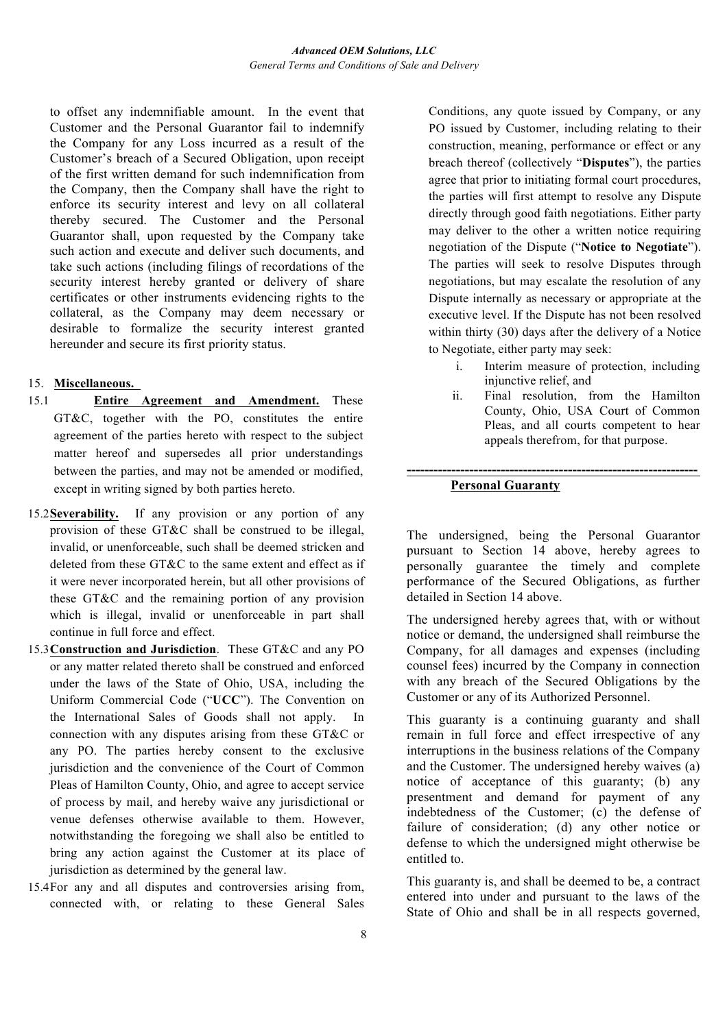to offset any indemnifiable amount. In the event that Customer and the Personal Guarantor fail to indemnify the Company for any Loss incurred as a result of the Customer's breach of a Secured Obligation, upon receipt of the first written demand for such indemnification from the Company, then the Company shall have the right to enforce its security interest and levy on all collateral thereby secured. The Customer and the Personal Guarantor shall, upon requested by the Company take such action and execute and deliver such documents, and take such actions (including filings of recordations of the security interest hereby granted or delivery of share certificates or other instruments evidencing rights to the collateral, as the Company may deem necessary or desirable to formalize the security interest granted hereunder and secure its first priority status.

# 15. **Miscellaneous.**

- 15.1 **Entire Agreement and Amendment.** These GT&C, together with the PO, constitutes the entire agreement of the parties hereto with respect to the subject matter hereof and supersedes all prior understandings between the parties, and may not be amended or modified, except in writing signed by both parties hereto.
- 15.2**Severability.** If any provision or any portion of any provision of these GT&C shall be construed to be illegal, invalid, or unenforceable, such shall be deemed stricken and deleted from these GT&C to the same extent and effect as if it were never incorporated herein, but all other provisions of these GT&C and the remaining portion of any provision which is illegal, invalid or unenforceable in part shall continue in full force and effect.
- 15.3**Construction and Jurisdiction**. These GT&C and any PO or any matter related thereto shall be construed and enforced under the laws of the State of Ohio, USA, including the Uniform Commercial Code ("**UCC**"). The Convention on the International Sales of Goods shall not apply. In connection with any disputes arising from these GT&C or any PO. The parties hereby consent to the exclusive jurisdiction and the convenience of the Court of Common Pleas of Hamilton County, Ohio, and agree to accept service of process by mail, and hereby waive any jurisdictional or venue defenses otherwise available to them. However, notwithstanding the foregoing we shall also be entitled to bring any action against the Customer at its place of jurisdiction as determined by the general law.
- 15.4For any and all disputes and controversies arising from, connected with, or relating to these General Sales

Conditions, any quote issued by Company, or any PO issued by Customer, including relating to their construction, meaning, performance or effect or any breach thereof (collectively "**Disputes**"), the parties agree that prior to initiating formal court procedures, the parties will first attempt to resolve any Dispute directly through good faith negotiations. Either party may deliver to the other a written notice requiring negotiation of the Dispute ("**Notice to Negotiate**"). The parties will seek to resolve Disputes through negotiations, but may escalate the resolution of any Dispute internally as necessary or appropriate at the executive level. If the Dispute has not been resolved within thirty (30) days after the delivery of a Notice to Negotiate, either party may seek:

- i. Interim measure of protection, including injunctive relief, and
- ii. Final resolution, from the Hamilton County, Ohio, USA Court of Common Pleas, and all courts competent to hear appeals therefrom, for that purpose.

## **Personal Guaranty**

The undersigned, being the Personal Guarantor pursuant to Section 14 above, hereby agrees to personally guarantee the timely and complete performance of the Secured Obligations, as further detailed in Section 14 above.

**-----------------------------------------------------------------**

The undersigned hereby agrees that, with or without notice or demand, the undersigned shall reimburse the Company, for all damages and expenses (including counsel fees) incurred by the Company in connection with any breach of the Secured Obligations by the Customer or any of its Authorized Personnel.

This guaranty is a continuing guaranty and shall remain in full force and effect irrespective of any interruptions in the business relations of the Company and the Customer. The undersigned hereby waives (a) notice of acceptance of this guaranty; (b) any presentment and demand for payment of any indebtedness of the Customer; (c) the defense of failure of consideration; (d) any other notice or defense to which the undersigned might otherwise be entitled to.

This guaranty is, and shall be deemed to be, a contract entered into under and pursuant to the laws of the State of Ohio and shall be in all respects governed,